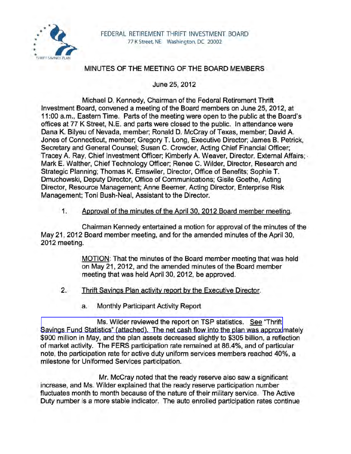

## MINUTES OF THE MEETING OF THE BOARD MEMBERS

June 25, 2012

Michael D. Kennedy, Chairman of the Federal Retirement Thrift Investment Board, convened a meeting of the Board members on June 25,2012, at 11 :00 a.m., Eastern Time. Parts of the meeting were open to the public at the Board's offices at 77 K Street, N.E. and parts were closed to the public. In attendance were Dana K. Bilyeu of Nevada, member; Ronald D. McCray of Texas, member; David A. Jones of Connecticut, member; Gregory T. Long, Executive Director; James B. Petrick, Secretary and General Counsel; Susan C. Crowder, Acting Chief Financial Officer; Tracey A. Ray, Chief Investment Officer; Kimberly A. Weaver, Director, External Affairs; · Mark E. Walther, Chief Technology Officer; Renee C. Wilder, Director, Research and Strategic Planning; Thomas K. Emswiler, Director, Office of Benefits; Sophie T. Dmuchowski, Deputy Director, Office of Communications; Gisile Goethe, Acting Director, Resource Management; Anne Beemer, Acting Director, Enterprise Risk Management; Toni Bush-Neal, Assistant to the Director.

## 1. Approval of the minutes of the April 30. 2012 Board member meeting.

Chairman Kennedy entertained a motion for approval of the minutes of the May 21, 2012 Board member meeting, and for the amended minutes of the April 30, 2012 meeting.

> MOTION: That the minutes of the Board member meeting that was held on May 21, 2012, and the amended minutes of the Board member meeting that was held April 30, 2012, be approved.

- 2. Thrift Savings Plan activity report by the Executive Director.
	- a. Monthly Participant Activity Report

Ms. Wilder reviewed the report on TSP statistics. See "Thrift [Savings Fund Statistics" \(attached\). The net cash flow into the plan was approxi](http://www.frtib.gov/pdf/minutes/MM-2012Jun-Att1.pdf)mately \$900 million in May, and the plan assets decreased slightly to \$305 billion, a reflection of market activity. The FERS participation rate remained at 86.4%, and of particular note, the participation rate for active duty uniform services members reached 40%, a milestone for Uniformed Services participation.

Mr. McCray noted that the ready reserve also saw a significant increase, and Ms. Wilder explained that the ready reserve participation number fluctuates month to month because of the nature of their military service. The Active Duty number is a more stable indicator. The auto enrolled participation rates continue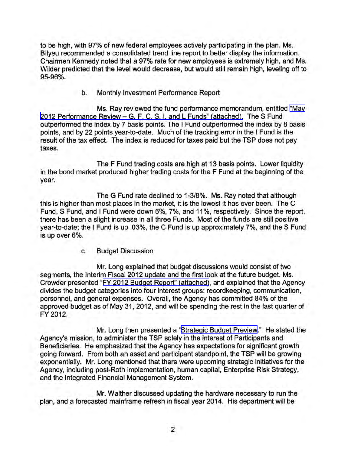to be high, with 97% of new federal employees actively participating in the plan. Ms. Bilyeu recommended a consolidated trend line report to better display the information. Chairmen Kennedy noted that a 97% rate for new employees is extremely high, and Ms. Wilder predicted that the level would decrease, but would still remain high, leveling off to 95-96%.

b. Monthly Investment Performance Report

Ms. Ray reviewed the fund performance memorandum, entitled ["May](http://www.frtib.gov/pdf/minutes/MM-2012Jun-Att2.pdf)  2012 Performance Review - [G, F, C, S, I, and L Funds" \(attached\).](http://www.frtib.gov/pdf/minutes/MM-2012Jun-Att2.pdf) The S Fund outperformed the index by 7 basis points. The I Fund outperformed the index by 8 basis points, and by 22 points year-to-date. Much of the tracking error in the I Fund is the result of the tax effect. The index is reduced for taxes paid but the TSP does not pay taxes.

The F Fund trading costs are high at 13 basis points. Lower liquidity in the bond market produced higher trading costs for the F Fund at the beginning of the year.

The G Fund rate declined to 1-3/8%. Ms. Ray noted that although this is higher than most places in the market, it is the lowest it has ever been. The C Fund, S Fund, and I Fund were down 6%, 7%, and 11 %, respectively. Since the report, there has been a slight increase in all three Funds. Most of the funds are still positive year-to-date; the I Fund is up .03%, the C Fund is up approximately 7%, and the S Fund is up over 6%.

c. Budget Discussion

Mr. Long explained that budget discussions would consist of two segments, the Interim Fiscal 2012 update and the first look at the future budget. Ms. Crowder presented "[FY 2012 Budget Report" \(attached\),](http://www.frtib.gov/pdf/minutes/MM-2012Jun-Att3.pdf) and explained that the Agency divides the budget categories into four interest groups: recordkeeping, communication, personnel, and general expenses. Overall, the Agency has committed 84% of the approved budget as of May 31,2012, and will be spending the rest in the last quarter of FY 2012.

Mr. Long then presented a "[Strategic Budget Preview.](http://www.frtib.gov/pdf/minutes/MM-2012Jun-Att4.pdf)" He stated the Agency's mission, to administer the TSP solely in the interest of Participants and Beneficiaries. He emphasized that the Agency has expectations for significant growth going forward. From both an asset and participant standpoint, the TSP will be growing exponentially. Mr. Long mentioned that there were upcoming strategic initiatives for the Agency, including post-Roth implementation, human capital, Enterprise Risk Strategy, and the Integrated Financial Management System.

Mr. Walther discussed updating the hardware necessary to run the plan, and a forecasted mainframe refresh in fiscal year 2014. His department will be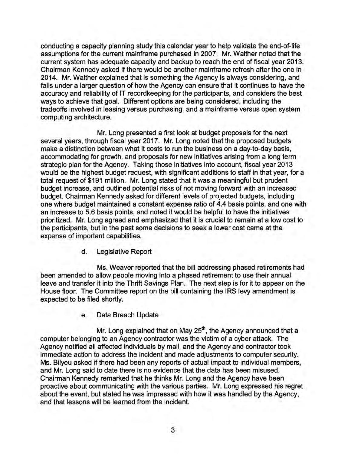conducting a capacity planning study this calendar year to help validate the end-of-life assumptions for the current mainframe purchased in 2007. Mr. Walther noted that the current system has adequate capacity and backup to reach the end of fiscal year 2013. Chairman Kennedy asked if there would be another mainframe refresh after the one in 2014. Mr. Walther explained that is something the Agency is always considering, and falls under a larger question of how the Agency can ensure that it continues to have the accuracy and reliability of IT recordkeeping for the participants, and considers the best ways to achieve that goal. Different options are being considered, including the tradeoffs involved in leasing versus purchasing, and a mainframe versus open system computing architecture.

Mr. Long presented a first look at budget proposals for the next several years, through fiscal year 2017. Mr. Long noted that the proposed budgets make a distinction between what it costs to run the business on a day-to-day basis, accommodating for growth, and proposals for new initiatives arising from a long term strategic plan for the Agency. Taking those initiatives into account, fiscal year 2013 would be the highest budget request, with significant additions to staff in that year, for a total request of \$191 million. Mr. Long stated that it was a meaningful but prudent budget increase, and outlined potential risks of not moving forward with an increased budget. Chairman Kennedy asked for different levels of projected budgets, including one where budget maintained a constant expense ratio of 4.4 basis points, and one with an increase to 5.6 basis points, and noted it would be helpful to have the initiatives prioritized. Mr. Long agreed and emphasized that it is crucial to remain at a low cost to the participants, but in the past some decisions to seek a lower cost came at the expense of important capabilities.

d. Legislative Report

Ms. Weaver reported that the bill addressing phased retirements had been amended to allow people moving into a phased retirement to use their annual leave and transfer it into the Thrift Savings Plan. The next step is for it to appear on the House floor. The Committee report on the bill containing the IRS levy amendment is expected to be filed shortly.

e. Data Breach Update

Mr. Long explained that on May  $25<sup>th</sup>$ , the Agency announced that a computer belonging to an Agency contractor was the victim of a cyber attack. The Agency notified all affected individuals by mail, and the Agency and contractor took immediate action to address the incident and made adjustments to computer security. Ms. Bilyeu asked if there had been any reports of actual impact to individual members, and Mr. Long said to date there is no evidence that the data has been misused. Chairman Kennedy remarked that he thinks Mr. Long and the Agency have been proactive about communicating with the various parties. Mr. Long expressed his regret about the event, but stated he was impressed with how it was handled by the Agency, and that lessons will be learned from the incident.